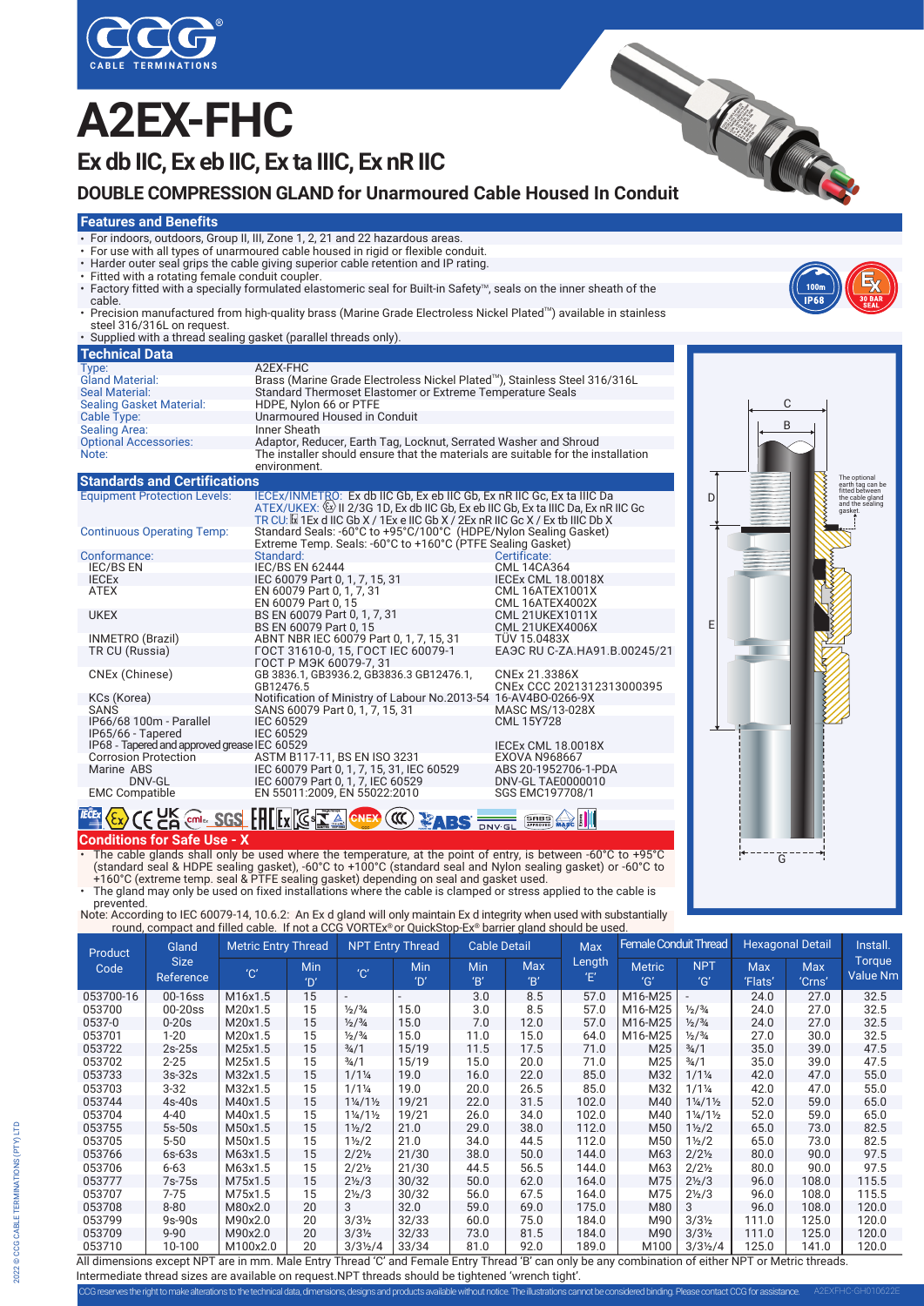

# **A2EX-FHC**

**Ex db IIC, Ex eb IIC, Ex ta IIIC, Ex nR IIC**

# CABLE TERMINATIONS<br>
EX db IIC, Ex eb IIC, Ex ta IIIC, Ex nR IIC<br>
DOUBLE COMPRESSION GLAND for Unarmoured Cable Housed In Conduit

#### **Features and Benefits**

- For indoors, outdoors, Group II, III, Zone 1, 2, 21 and 22 hazardous areas.
- For use with all types of unarmoured cable housed in rigid or flexible conduit.
- Harder outer seal grips the cable giving superior cable retention and IP rating. Fitted with a rotating female conduit coupler.
- 
- Factory fitted with a specially formulated elastomeric seal for Built-in Safety<sup>M</sup>, seals on the inner sheath of the cable.
- Precision manufactured from high-quality brass (Marine Grade Electroless Nickel Plated™) available in stainless steel 316/316L on request. • Supplied with a thread sealing gasket (parallel threads only).
- 

| papping min a micaa beamig gabrier (paraner micaab only). |                                                                                                  |  |  |  |  |  |  |
|-----------------------------------------------------------|--------------------------------------------------------------------------------------------------|--|--|--|--|--|--|
| <b>Technical Data</b>                                     |                                                                                                  |  |  |  |  |  |  |
| Type:                                                     | A2EX-FHC                                                                                         |  |  |  |  |  |  |
| <b>Gland Material:</b>                                    | Brass (Marine Grade Electroless Nickel Plated™), Stainless Steel 316/316L                        |  |  |  |  |  |  |
| Seal Material:                                            | Standard Thermoset Elastomer or Extreme Temperature Seals                                        |  |  |  |  |  |  |
| <b>Sealing Gasket Material:</b>                           | HDPE, Nylon 66 or PTFE                                                                           |  |  |  |  |  |  |
| Cable Type:                                               | Unarmoured Housed in Conduit                                                                     |  |  |  |  |  |  |
| <b>Sealing Area:</b>                                      | Inner Sheath                                                                                     |  |  |  |  |  |  |
| <b>Optional Accessories:</b>                              | Adaptor, Reducer, Earth Tag, Locknut, Serrated Washer and Shroud                                 |  |  |  |  |  |  |
| Note:                                                     | The installer should ensure that the materials are suitable for the installation<br>environment. |  |  |  |  |  |  |
|                                                           |                                                                                                  |  |  |  |  |  |  |

**Standards and Certifications**

| <b>Equipment Protection Levels:</b>          | IECEX/INMETRO: Ex db IIC Gb, Ex eb IIC Gb, Ex nR IIC Gc, Ex ta IIIC Da<br>ATEX/UKEX: (Ex) II 2/3G 1D, Ex db IIC Gb, Ex eb IIC Gb, Ex ta IIIC Da, Ex nR IIC Gc<br>TR CU: $\boxtimes$ 1 Ex d IIC Gb X / 1 Ex e IIC Gb X / 2 Ex nR IIC Gc X / Ex tb IIIC Db X |                                                  |
|----------------------------------------------|------------------------------------------------------------------------------------------------------------------------------------------------------------------------------------------------------------------------------------------------------------|--------------------------------------------------|
| <b>Continuous Operating Temp:</b>            | Standard Seals: -60°C to +95°C/100°C (HDPE/Nylon Sealing Gasket)<br>Extreme Temp. Seals: -60°C to +160°C (PTFE Sealing Gasket)                                                                                                                             |                                                  |
| Conformance:                                 | Standard:                                                                                                                                                                                                                                                  | Certificate:                                     |
| <b>IEC/BS EN</b>                             | <b>IEC/BS EN 62444</b>                                                                                                                                                                                                                                     | <b>CML 14CA364</b>                               |
| <b>IECEX</b>                                 | IEC 60079 Part 0, 1, 7, 15, 31                                                                                                                                                                                                                             | <b>IECEX CML 18.0018X</b>                        |
| ATEX                                         | EN 60079 Part 0, 1, 7, 31<br>EN 60079 Part 0, 15                                                                                                                                                                                                           | <b>CML 16ATEX1001X</b><br>CML 16ATEX4002X        |
| <b>UKEX</b>                                  | BS EN 60079 Part 0, 1, 7, 31<br>BS EN 60079 Part 0, 15                                                                                                                                                                                                     | <b>CML 21UKEX1011X</b><br><b>CML 21UKEX4006X</b> |
| INMETRO (Brazil)                             | ABNT NBR IEC 60079 Part 0, 1, 7, 15, 31                                                                                                                                                                                                                    | <b>TÜV 15.0483X</b>                              |
| TR CU (Russia)                               | FOCT 31610-0, 15, FOCT IEC 60079-1<br>ГОСТ Р МЭК 60079-7, 31                                                                                                                                                                                               | EA <sub>3</sub> C RU C-ZA.HA91.B.00245/21        |
| CNEx (Chinese)                               | GB 3836.1, GB3936.2, GB3836.3 GB12476.1,<br>GB12476.5                                                                                                                                                                                                      | CNEx 21.3386X<br>CNEx CCC 2021312313000395       |
| KCs (Korea)                                  | Notification of Ministry of Labour No.2013-54 16-AV4BO-0266-9X                                                                                                                                                                                             |                                                  |
| <b>SANS</b>                                  | SANS 60079 Part 0, 1, 7, 15, 31                                                                                                                                                                                                                            | <b>MASC MS/13-028X</b>                           |
| IP66/68 100m - Parallel<br>IP65/66 - Tapered | IEC 60529<br><b>IEC 60529</b>                                                                                                                                                                                                                              | CML 15Y728                                       |
| IP68 - Tapered and approved grease IEC 60529 |                                                                                                                                                                                                                                                            | <b>IECEX CML 18.0018X</b>                        |
| <b>Corrosion Protection</b>                  | ASTM B117-11, BS EN ISO 3231                                                                                                                                                                                                                               | <b>EXOVA N968667</b>                             |
| Marine ABS<br>DNV-GL                         | IEC 60079 Part 0, 1, 7, 15, 31, IEC 60529<br>IEC 60079 Part 0, 1, 7, IEC 60529                                                                                                                                                                             | ABS 20-1952706-1-PDA<br>DNV-GL TAE0000010        |
| <b>EMC Compatible</b>                        | EN 55011:2009, EN 55022:2010                                                                                                                                                                                                                               | SGS EMC197708/1                                  |



**Conditions for Safe Use - X** • The cable glands shall only be used where the temperature, at the point of entry, is between -60°C to +95°C (standard seal & HDPE sealing gasket), -60°C to +100°C (standard seal and Nylon sealing gasket) or -60°C to

**TECAY COURCES CONTROLL FOR THE COURCE OF ABS BOYCES COURCES** 

+160°C (extreme temp. seal & PTFE sealing gasket) depending on seal and gasket used. • The gland may only be used on fixed installations where the cable is clamped or stress applied to the cable is

prevented.<br>Note: According to IEC 60079-14, 10.6.2: An Ex d gland will only maintain Ex d integrity when used with substantially<br>round, compact and filled cable. If not a CCG VORTEx® or QuickStop-Ex® barrier gland should b

| round, compact and filled cable. If not a CCG VORTEx® or QuickStop-Ex® barrier gland should be used. |                                          |                            |                              |                                 |                              |                  |                     |             |                              |                                 |                         |                      |                           |
|------------------------------------------------------------------------------------------------------|------------------------------------------|----------------------------|------------------------------|---------------------------------|------------------------------|------------------|---------------------|-------------|------------------------------|---------------------------------|-------------------------|----------------------|---------------------------|
| Product<br>Code                                                                                      | Gland<br><b>Size</b><br><b>Reference</b> | <b>Metric Entry Thread</b> |                              |                                 | <b>NPT Entry Thread</b>      |                  | <b>Cable Detail</b> |             | <b>Female Conduit Thread</b> |                                 | <b>Hexagonal Detail</b> |                      | Install.                  |
|                                                                                                      |                                          | 'C'                        | <b>Min</b><br>$^{\prime}$ D' | 'C'                             | <b>Min</b><br>$^{\prime}$ D' | <b>Min</b><br>B' | <b>Max</b><br>B'    | Length<br>Έ | <b>Metric</b><br>'G'         | <b>NPT</b><br>'G'               | <b>Max</b><br>'Flats'   | <b>Max</b><br>'Crns' | Torque<br><b>Value Nm</b> |
| 053700-16                                                                                            | 00-16ss                                  | M16x1.5                    | 15                           | ۰                               |                              | 3.0              | 8.5                 | 57.0        | M16-M25                      |                                 | 24.0                    | 27.0                 | 32.5                      |
| 053700                                                                                               | $00-20$ ss                               | M20x1.5                    | 15                           | $\frac{1}{2}$ / $\frac{3}{4}$   | 15.0                         | 3.0              | 8.5                 | 57.0        | M16-M25                      | $\frac{1}{2}$ / $\frac{3}{4}$   | 24.0                    | 27.0                 | 32.5                      |
| 0537-0                                                                                               | $0-20s$                                  | M20x1.5                    | 15                           | $\frac{1}{2}$ / $\frac{3}{4}$   | 15.0                         | 7.0              | 12.0                | 57.0        | M16-M25                      | $\frac{1}{2}$ / $\frac{3}{4}$   | 24.0                    | 27.0                 | 32.5                      |
| 053701                                                                                               | $1 - 20$                                 | M20x1.5                    | 15                           | $\frac{1}{2}$ / $\frac{3}{4}$   | 15.0                         | 11.0             | 15.0                | 64.0        | M16-M25                      | $\frac{1}{2}$ / $\frac{3}{4}$   | 27.0                    | 30.0                 | 32.5                      |
| 053722                                                                                               | $2s-25s$                                 | M25x1.5                    | 15                           | $\frac{3}{4}$ /1                | 15/19                        | 11.5             | 17.5                | 71.0        | M <sub>25</sub>              | $\frac{3}{4}$ /1                | 35.0                    | 39.0                 | 47.5                      |
| 053702                                                                                               | $2 - 25$                                 | M25x1.5                    | 15                           | $\frac{3}{4}$ /1                | 15/19                        | 15.0             | 20.0                | 71.0        | M <sub>25</sub>              | $\frac{3}{4}$ /1                | 35.0                    | 39.0                 | 47.5                      |
| 053733                                                                                               | $3s-32s$                                 | M32x1.5                    | 15                           | $1/1\frac{1}{4}$                | 19.0                         | 16.0             | 22.0                | 85.0        | M32                          | $1/1\frac{1}{4}$                | 42.0                    | 47.0                 | 55.0                      |
| 053703                                                                                               | $3 - 32$                                 | M32x1.5                    | 15                           | $1/1\frac{1}{4}$                | 19.0                         | 20.0             | 26.5                | 85.0        | M32                          | $1/1\frac{1}{4}$                | 42.0                    | 47.0                 | 55.0                      |
| 053744                                                                                               | $4s-40s$                                 | M40x1.5                    | 15                           | $1\frac{1}{4}$ /1 $\frac{1}{2}$ | 19/21                        | 22.0             | 31.5                | 102.0       | M40                          | $1\frac{1}{4}$ /1 $\frac{1}{2}$ | 52.0                    | 59.0                 | 65.0                      |
| 053704                                                                                               | $4 - 40$                                 | M40x1.5                    | 15                           | $1\frac{1}{4}$ /1 $\frac{1}{2}$ | 19/21                        | 26.0             | 34.0                | 102.0       | M40                          | $1\frac{1}{4}$ /1 $\frac{1}{2}$ | 52.0                    | 59.0                 | 65.0                      |
| 053755                                                                                               | $5s-50s$                                 | M50x1.5                    | 15                           | $1\frac{1}{2}$                  | 21.0                         | 29.0             | 38.0                | 112.0       | M <sub>50</sub>              | $1\frac{1}{2}$ /2               | 65.0                    | 73.0                 | 82.5                      |
| 053705                                                                                               | $5 - 50$                                 | M50x1.5                    | 15                           | $1\frac{1}{2}$                  | 21.0                         | 34.0             | 44.5                | 112.0       | M50                          | 1½/2                            | 65.0                    | 73.0                 | 82.5                      |
| 053766                                                                                               | $6s-63s$                                 | M63x1.5                    | 15                           | $2/2\frac{1}{2}$                | 21/30                        | 38.0             | 50.0                | 144.0       | M63                          | $2/2\frac{1}{2}$                | 80.0                    | 90.0                 | 97.5                      |
| 053706                                                                                               | $6 - 63$                                 | M63x1.5                    | 15                           | $2/2\frac{1}{2}$                | 21/30                        | 44.5             | 56.5                | 144.0       | M63                          | $2/2\frac{1}{2}$                | 80.0                    | 90.0                 | 97.5                      |
| 053777                                                                                               | 7s-75s                                   | M75x1.5                    | 15                           | $2\frac{1}{2}$ /3               | 30/32                        | 50.0             | 62.0                | 164.0       | M75                          | $2\frac{1}{2}$ /3               | 96.0                    | 108.0                | 115.5                     |
| 053707                                                                                               | $7 - 75$                                 | M75x1.5                    | 15                           | $2\frac{1}{2}$ /3               | 30/32                        | 56.0             | 67.5                | 164.0       | M75                          | $2\frac{1}{2}$ /3               | 96.0                    | 108.0                | 115.5                     |
| 053708                                                                                               | $8 - 80$                                 | M80x2.0                    | 20                           | 3                               | 32.0                         | 59.0             | 69.0                | 175.0       | M80                          | 3                               | 96.0                    | 108.0                | 120.0                     |
| 053799                                                                                               | $9s-90s$                                 | M90x2.0                    | 20                           | $3/3\frac{1}{2}$                | 32/33                        | 60.0             | 75.0                | 184.0       | M90                          | $3/3\frac{1}{2}$                | 111.0                   | 125.0                | 120.0                     |
| 053709                                                                                               | $9 - 90$                                 | M90x2.0                    | 20                           | $3/3\frac{1}{2}$                | 32/33                        | 73.0             | 81.5                | 184.0       | M90                          | $3/3\frac{1}{2}$                | 111.0                   | 125.0                | 120.0                     |
| 053710                                                                                               | 10-100                                   | M100x2.0                   | 20                           | $3/3\frac{1}{2}/4$              | 33/34                        | 81.0             | 92.0                | 189.0       | M100                         | $3/3\frac{1}{2}/4$              | 125.0                   | 141.0                | 120.0                     |

All dimensions except NPT are in mm. Male Entry Thread 'C' and Female Entry Thread 'B' can only be any combination of either NPT or Metric threads. Intermediate thread sizes are available on request.NPT threads should be tightened 'wrench tight'.

CCG reserves the right to make alterations to the technical data, dimensions, designs and products available without notice. The illustrations cannot be considered binding. Please contact CCG for as